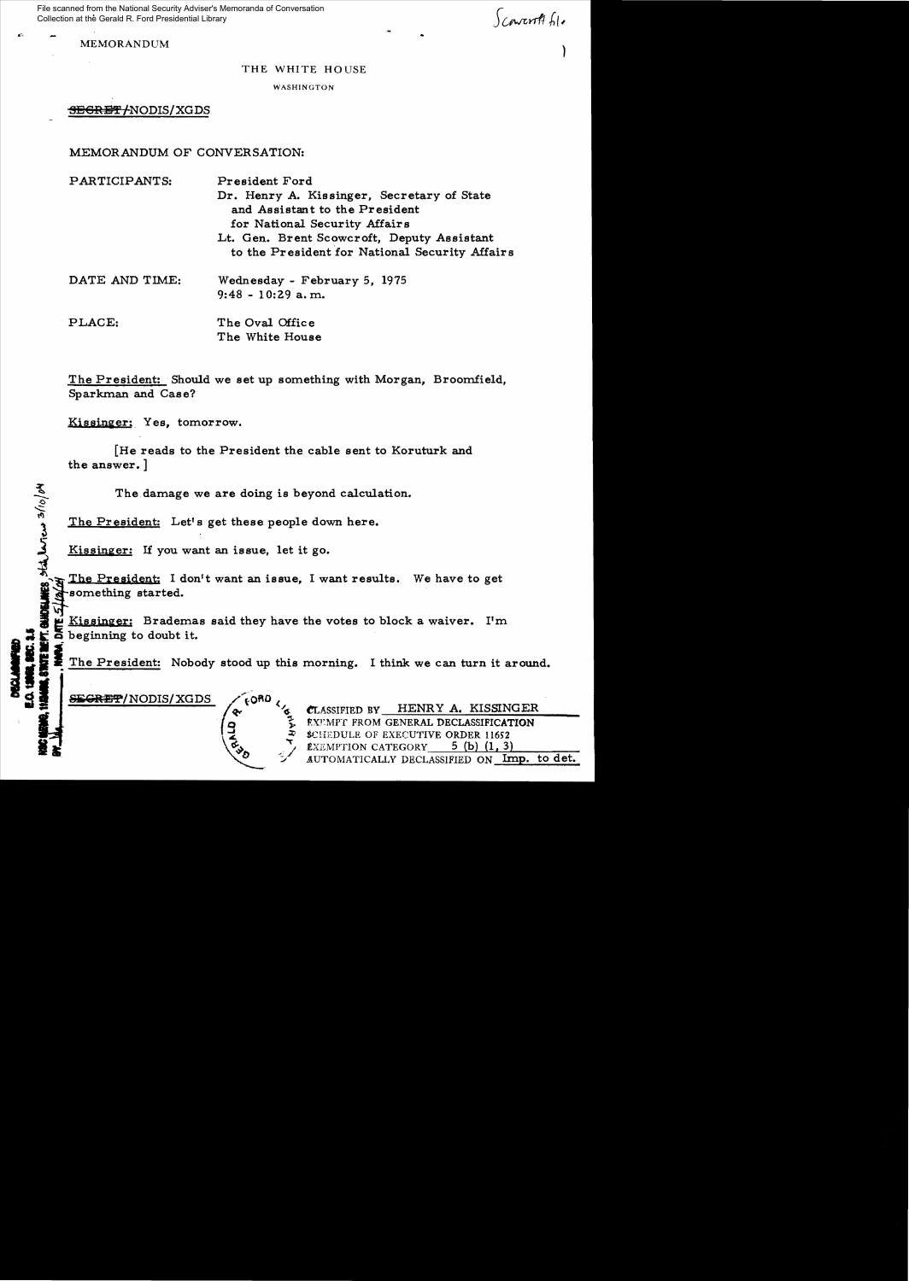File scanned from the National Security Adviser's Memoranda of Conversation Collection at the Gerald R. Ford Presidential Library

MEMORANDUM (1999) (1999) (1999) (1999) (1999) (1999) (1999) (1999) (1999) (1999) (1999) (1999) (1999) (1999) (1999) (1999) (1999) (1999) (1999) (1999) (1999) (1999) (1999) (1999) (1999) (1999) (1999) (1999) (1999) (1999) (

 $S$ covert  $61$ 

THE WHITE HOUSE

WASHINGTON

<del>SEGRET/</del>NODIS/XGDS

MEMORANDUM OF CONVERSATION:

PARTICIPANTS: President Ford Dr. Henry A. Kissinger, Secretary of State and Assistant to the President for National. Security Affairs Lt. Gen. Brent Scowcroft, Deputy Assistant to the President for National Security Affairs DATE AND TIME: Wednesday - February 5, 1975 9:48 - 10:29 a. m. PLACE: The Oval Office The White House

The President: Should we set up something with Morgan, Broomfield, Sparkman and Case?

Kissinger; Yes, tomorrow.

hoj

[He reads to the President the cable sent to Koruturk and the answer. ]

The damage we are doing is beyond calculation.

The President: Let's get these people down here.<br>  $\frac{3}{2}$ 

Kissinger: If you want an issue, let it go.

The President: I don't want an issue, I want results. We have to get something started.

**EXIT ALIE ALIE CONDUCTS**<br> **ALIE A** beginning to doubt it.<br> **ALIE A** beginning to doubt it.<br> **ALIE A** beginning to doubt it.<br>
The President: Nobody stood up this morning. I think we can turn it around.

**SEGRET/NODIS/XGDS** (60<sup>RD</sup> < CLASSIFIED BY HENRY A. KISSINGER EXEMPT FROM GENERAL DECLASSIFICATION \$CHEDULE OF EXECUTIVE ORDER 11652 **EXEMPTION CATEGORY**  $\quad$  5 (b) (1, 3) AUTOMATICALLY DECLASSIFIED ON Imp. to det.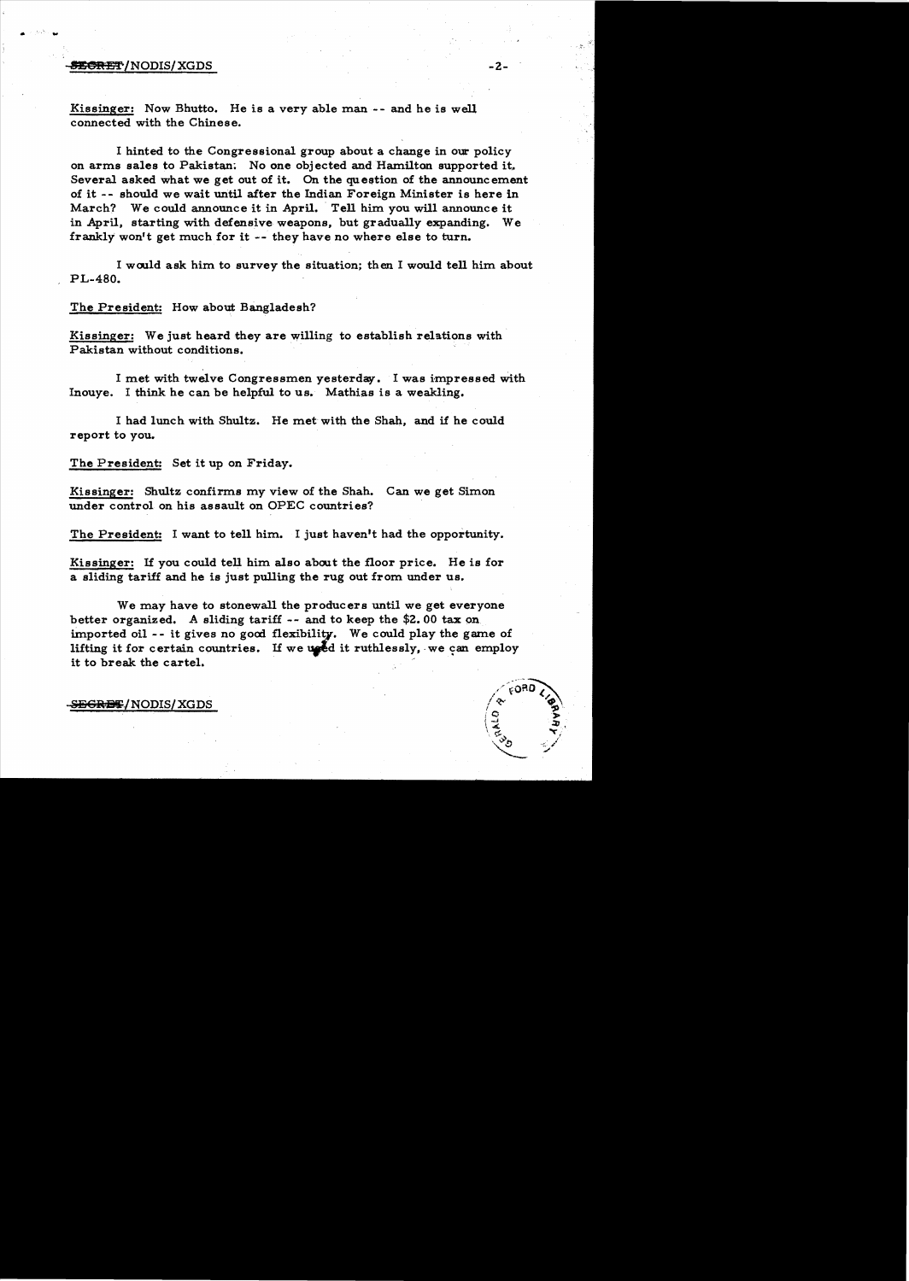## MSR!i'f"jNODIS/ XGDS -2

.. ...

Kissinger: Now Bhutto. He is a very able man-- and he is well connected with the Chinese.

I hinted to the Congressional group about a change in our policy on arms sales to Pakistan; No one objected and Hamilton supported it, Several asked what we get out of it. On the question of the announcement of it - - should we wait until after the Indian Foreign Minister is here in March? We could announce it in April. Tell him you will announce it in April, starting with defensive weapons, but gradually expanding. We frankly won't get much for it -- they have no where else to turn.

I would ask him to survey the situation; then I would tell him about PL-480.

The President: How about Bangladesh?

Kissinger: We just heard they are willing to establish relations with Pakistan without conditions.

I met with twelve Congressmen yesterday. I was impressed With Inouye. I think he can be helpful to us. Mathias is a weakling.

I had lunch with Shultz. He met with the Shah, and if he could report to you.

The President: Set it up on Friday.

Kissinger: Shultz confirms my view of the Shah. Can we get Simon under control on his assault on OPEC countries?

The President: I want to tell him. I just haven't had the opportunity.

Kissinger: 1£ you could tell him also about the floor price. He is for a sliding tariff and he is just pulling the rug out from under us.

We may have to stonewall the producers until we get everyone better organized. A sliding tariff -- and to keep the \$2.00 tax on imported oil -- it gives no good flexibility. We could play the game of lifting it for certain countries. If we used it ruthlessly, we can employ We may have to stonewall the producers until we get<br>better organized. A sliding tariff -- and to keep the \$2.00<br>imported oil -- it gives no good flexibility. We could play<br>lifting it for certain countries. If we uped it ru

S<del>ECRET</del>/NODIS/XGDS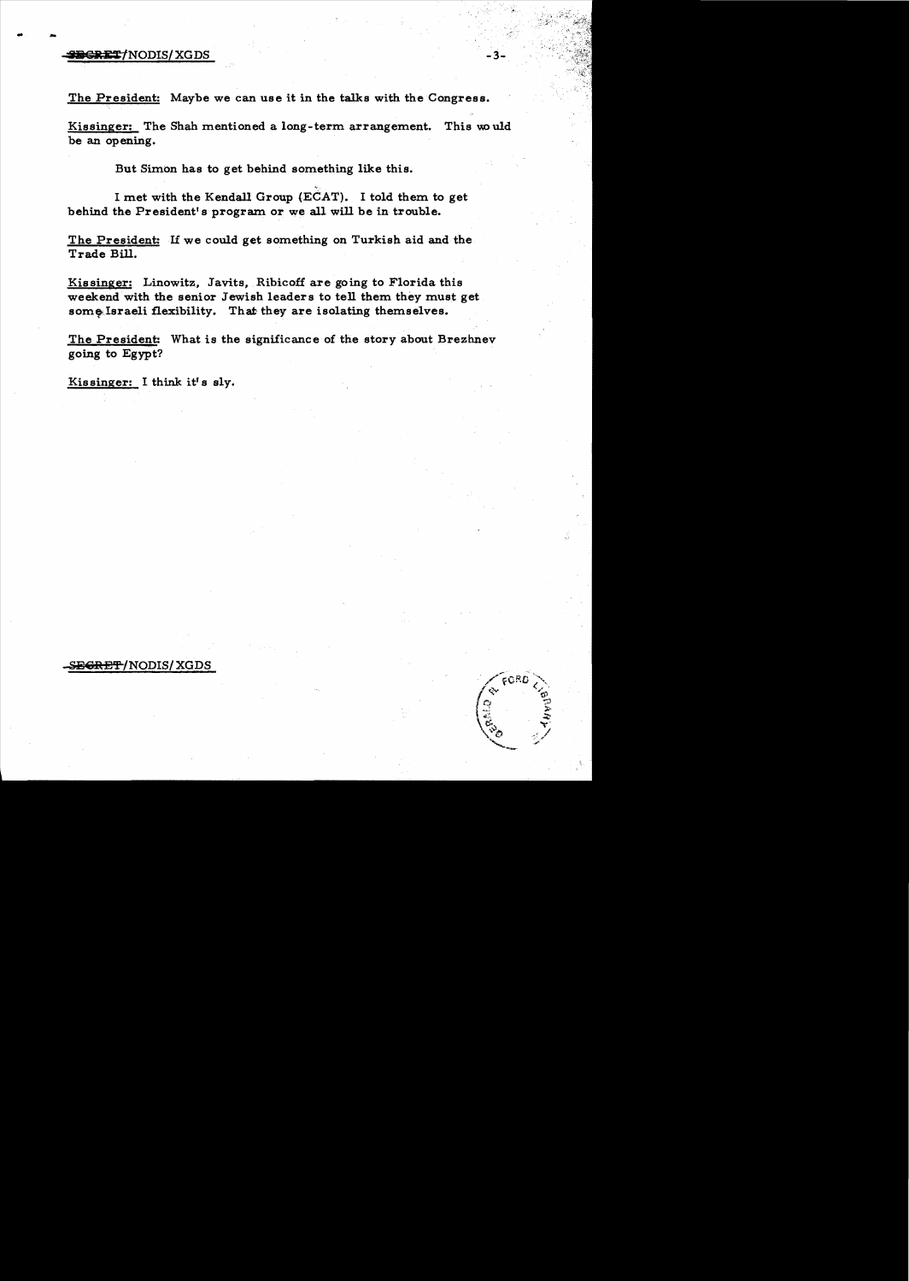## .. **!iI** !~Ji:T/NODISI XGDS -3

The President: Maybe we can use it in the talks with the Congress.

Kissinger: The Shah mentioned a long-term arrangement. This would be an opening.

But Simon has to get behind something like this.

I met with the Kendall Group (ECAT). I told them to get behind the President's program or we all will be in trouble.

The President: If we could get something on Turkish aid and the Trade Bill.

Kissinger: Linowitz, Javits, Ribicoff are going to Florida this weekend with the senior Jewish leaders to tell them they must get some Israeli flexibility. That they are isolating themselves.

The President: What is the significance of the story about Brezhnev going to Egypt?

Kissinger: I think it's sly.

## **SE<del>GRET</del>/NODIS/XGDS**

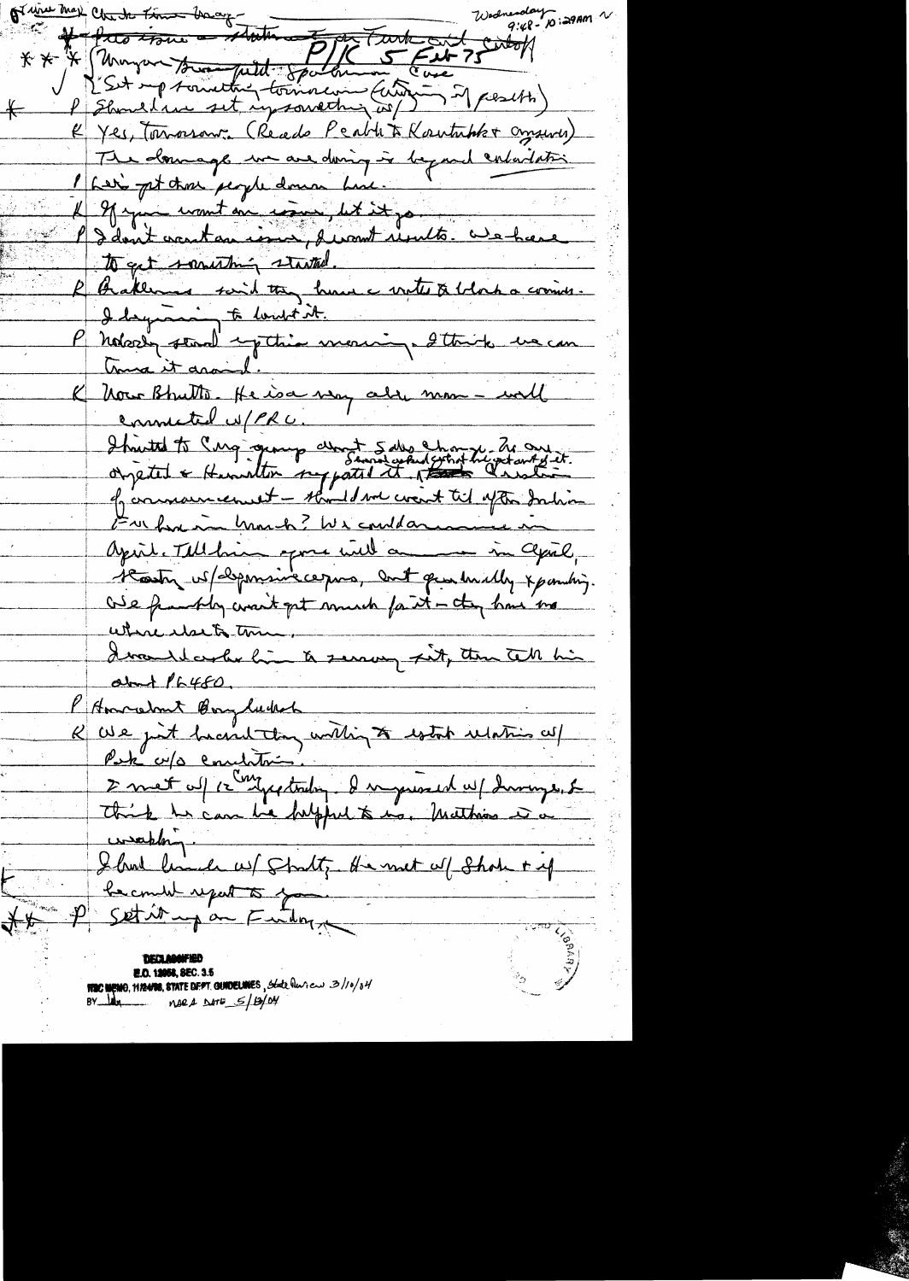of wine may check time back  $9:48 - 10:29$  Am \* \* \* Thompson to methy toman Europe 75  $\leftarrow$ K Yes, Touroson, (Reads Peable & Koutubber Consurer) The domage we are doing in beyond entertation I have get those people down hime. If you want on come, let it go P dont contain in promt units avechance to get something started. Grakement said they have notes a block a commer-I dequain te lanté it.<br>P notorty stand expetite morning. Ittrick use can true it around. K Nous Bhutto. He isa very alle mon - will connected u/PRU. I trieted to Cinq quange about 5 des changes de conseils. of communicanist - should not creat til after Inhim Furbon in March? We could arrive in April. Tellbrin spons will an im april, Hosty is / deponsive ce pas, cont que huilly x pombing. One frankly want get smarch fart - they have me where else to time. ature etse to une.<br>Iva de color hui à serrous sit, tou tell his about  $16480$ . l'Americant Boylock E met uf le Congrectador d'inguised up duringe. Le weekling. Show limite w/ Stratt, He met al Show + if P Setive up au Fuidor ₹₩ **E.O. 12058, SEC. 3.5 NEC MEMO, MIZANE, STATE DEPT. GUNDELINES, State Quan can 3/10/04**  $BY$   $Mx$   $M2A$   $M5S/B/N$